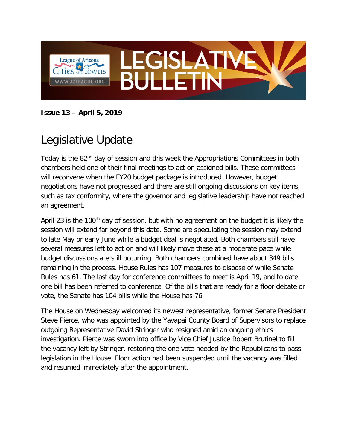

**Issue 13 – April 5, 2019**

## Legislative Update

Today is the 82<sup>nd</sup> day of session and this week the Appropriations Committees in both chambers held one of their final meetings to act on assigned bills. These committees will reconvene when the FY20 budget package is introduced. However, budget negotiations have not progressed and there are still ongoing discussions on key items, such as tax conformity, where the governor and legislative leadership have not reached an agreement.

April 23 is the 100<sup>th</sup> day of session, but with no agreement on the budget it is likely the session will extend far beyond this date. Some are speculating the session may extend to late May or early June while a budget deal is negotiated. Both chambers still have several measures left to act on and will likely move these at a moderate pace while budget discussions are still occurring. Both chambers combined have about 349 bills remaining in the process. House Rules has 107 measures to dispose of while Senate Rules has 61. The last day for conference committees to meet is April 19, and to date one bill has been referred to conference. Of the bills that are ready for a floor debate or vote, the Senate has 104 bills while the House has 76.

The House on Wednesday welcomed its newest representative, former Senate President Steve Pierce, who was appointed by the Yavapai County Board of Supervisors to replace outgoing Representative David Stringer who resigned amid an ongoing ethics investigation. Pierce was sworn into office by Vice Chief Justice Robert Brutinel to fill the vacancy left by Stringer, restoring the one vote needed by the Republicans to pass legislation in the House. Floor action had been suspended until the vacancy was filled and resumed immediately after the appointment.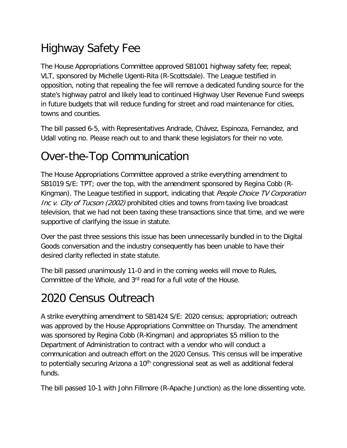# Highway Safety Fee

The House Appropriations Committee approved SB1001 highway safety fee; repeal; VLT, sponsored by Michelle Ugenti-Rita (R-Scottsdale). The League testified in opposition, noting that repealing the fee will remove a dedicated funding source for the state's highway patrol and likely lead to continued Highway User Revenue Fund sweeps in future budgets that will reduce funding for street and road maintenance for cities, towns and counties.

The bill passed 6-5, with Representatives Andrade, Chávez, Espinoza, Fernandez, and Udall voting no. Please reach out to and thank these legislators for their no vote.

## Over-the-Top Communication

The House Appropriations Committee approved a strike everything amendment to SB1019 S/E: TPT; over the top, with the amendment sponsored by Regina Cobb (R-Kingman). The League testified in support, indicating that People Choice TV Corporation Inc v. City of Tucson (2002) prohibited cities and towns from taxing live broadcast television, that we had not been taxing these transactions since that time, and we were supportive of clarifying the issue in statute.

Over the past three sessions this issue has been unnecessarily bundled in to the Digital Goods conversation and the industry consequently has been unable to have their desired clarity reflected in state statute.

The bill passed unanimously 11-0 and in the coming weeks will move to Rules, Committee of the Whole, and 3<sup>rd</sup> read for a full vote of the House.

#### 2020 Census Outreach

A strike everything amendment to SB1424 S/E: 2020 census; appropriation; outreach was approved by the House Appropriations Committee on Thursday. The amendment was sponsored by Regina Cobb (R-Kingman) and appropriates \$5 million to the Department of Administration to contract with a vendor who will conduct a communication and outreach effort on the 2020 Census. This census will be imperative to potentially securing Arizona a 10<sup>th</sup> congressional seat as well as additional federal funds.

The bill passed 10-1 with John Fillmore (R-Apache Junction) as the lone dissenting vote.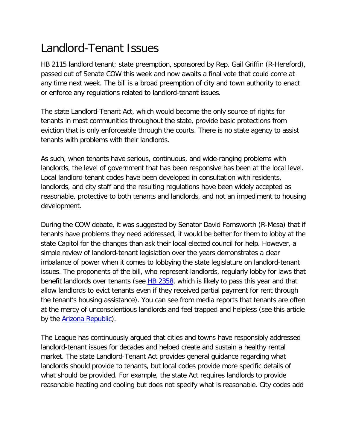## Landlord-Tenant Issues

HB 2115 landlord tenant; state preemption, sponsored by Rep. Gail Griffin (R-Hereford), passed out of Senate COW this week and now awaits a final vote that could come at any time next week. The bill is a broad preemption of city and town authority to enact or enforce any regulations related to landlord-tenant issues.

The state Landlord-Tenant Act, which would become the only source of rights for tenants in most communities throughout the state, provide basic protections from eviction that is only enforceable through the courts. There is no state agency to assist tenants with problems with their landlords.

As such, when tenants have serious, continuous, and wide-ranging problems with landlords, the level of government that has been responsive has been at the local level. Local landlord-tenant codes have been developed in consultation with residents, landlords, and city staff and the resulting regulations have been widely accepted as reasonable, protective to both tenants and landlords, and not an impediment to housing development.

During the COW debate, it was suggested by Senator David Farnsworth (R-Mesa) that if tenants have problems they need addressed, it would be better for them to lobby at the state Capitol for the changes than ask their local elected council for help. However, a simple review of landlord-tenant legislation over the years demonstrates a clear imbalance of power when it comes to lobbying the state legislature on landlord-tenant issues. The proponents of the bill, who represent landlords, regularly lobby for laws that benefit landlords over tenants (see **HB 2358**, which is likely to pass this year and that allow landlords to evict tenants even if they received partial payment for rent through the tenant's housing assistance). You can see from media reports that tenants are often at the mercy of unconscientious landlords and feel trapped and helpless (see this article by the **Arizona Republic**).

The League has continuously argued that cities and towns have responsibly addressed landlord-tenant issues for decades and helped create and sustain a healthy rental market. The state Landlord-Tenant Act provides general guidance regarding what landlords should provide to tenants, but local codes provide more specific details of what should be provided. For example, the state Act requires landlords to provide reasonable heating and cooling but does not specify what is reasonable. City codes add